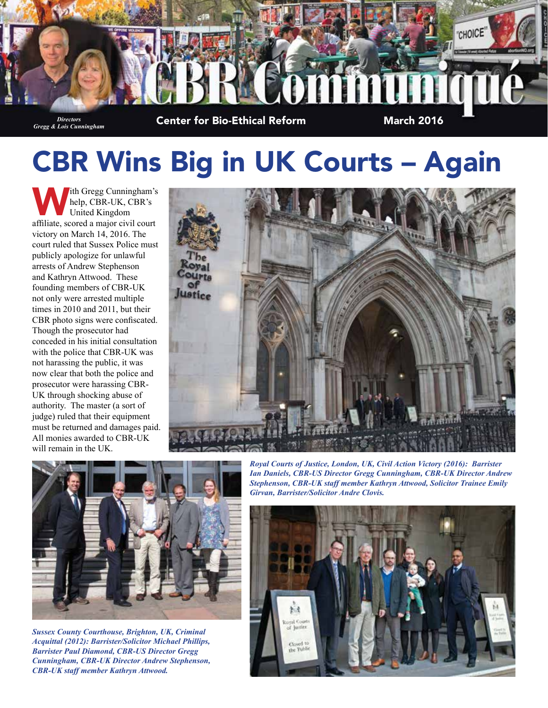

# CBR Wins Big in UK Courts – Again

ith Gregg Cunningham's help, CBR-UK, CBR's United Kingdom affiliate, scored a major civil court victory on March 14, 2016. The court ruled that Sussex Police must publicly apologize for unlawful arrests of Andrew Stephenson and Kathryn Attwood. These founding members of CBR-UK not only were arrested multiple times in 2010 and 2011, but their CBR photo signs were confiscated. Though the prosecutor had conceded in his initial consultation with the police that CBR-UK was not harassing the public, it was now clear that both the police and prosecutor were harassing CBR-UK through shocking abuse of authority. The master (a sort of judge) ruled that their equipment must be returned and damages paid. All monies awarded to CBR-UK will remain in the UK.





*Sussex County Courthouse, Brighton, UK, Criminal Acquittal (2012): Barrister/Solicitor Michael Phillips, Barrister Paul Diamond, CBR-US Director Gregg Cunningham, CBR-UK Director Andrew Stephenson, CBR-UK staff member Kathryn Attwood.*

*Royal Courts of Justice, London, UK, Civil Action Victory (2016): Barrister Ian Daniels, CBR-US Director Gregg Cunningham, CBR-UK Director Andrew Stephenson, CBR-UK staff member Kathryn Attwood, Solicitor Trainee Emily Girvan, Barrister/Solicitor Andre Clovis.*

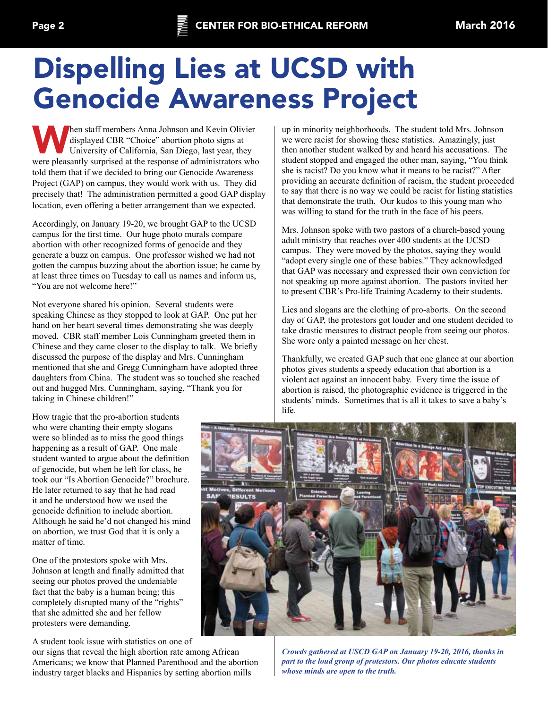## Dispelling Lies at UCSD with Genocide Awareness Project

When staff members Anna Johnson and Kevin Olivier<br>displayed CBR "Choice" abortion photo signs at<br>University of California, San Diego, last year, they displayed CBR "Choice" abortion photo signs at University of California, San Diego, last year, they were pleasantly surprised at the response of administrators who told them that if we decided to bring our Genocide Awareness Project (GAP) on campus, they would work with us. They did precisely that! The administration permitted a good GAP display location, even offering a better arrangement than we expected.

Accordingly, on January 19-20, we brought GAP to the UCSD campus for the first time. Our huge photo murals compare abortion with other recognized forms of genocide and they generate a buzz on campus. One professor wished we had not gotten the campus buzzing about the abortion issue; he came by at least three times on Tuesday to call us names and inform us, "You are not welcome here!"

Not everyone shared his opinion. Several students were speaking Chinese as they stopped to look at GAP. One put her hand on her heart several times demonstrating she was deeply moved. CBR staff member Lois Cunningham greeted them in Chinese and they came closer to the display to talk. We briefly discussed the purpose of the display and Mrs. Cunningham mentioned that she and Gregg Cunningham have adopted three daughters from China. The student was so touched she reached out and hugged Mrs. Cunningham, saying, "Thank you for taking in Chinese children!"

How tragic that the pro-abortion students who were chanting their empty slogans were so blinded as to miss the good things happening as a result of GAP. One male student wanted to argue about the definition of genocide, but when he left for class, he took our "Is Abortion Genocide?" brochure. He later returned to say that he had read it and he understood how we used the genocide definition to include abortion. Although he said he'd not changed his mind on abortion, we trust God that it is only a matter of time.

One of the protestors spoke with Mrs. Johnson at length and finally admitted that seeing our photos proved the undeniable fact that the baby is a human being; this completely disrupted many of the "rights" that she admitted she and her fellow protesters were demanding.

A student took issue with statistics on one of

our signs that reveal the high abortion rate among African Americans; we know that Planned Parenthood and the abortion industry target blacks and Hispanics by setting abortion mills

up in minority neighborhoods. The student told Mrs. Johnson we were racist for showing these statistics. Amazingly, just then another student walked by and heard his accusations. The student stopped and engaged the other man, saying, "You think she is racist? Do you know what it means to be racist?" After providing an accurate definition of racism, the student proceeded to say that there is no way we could be racist for listing statistics that demonstrate the truth. Our kudos to this young man who was willing to stand for the truth in the face of his peers.

Mrs. Johnson spoke with two pastors of a church-based young adult ministry that reaches over 400 students at the UCSD campus. They were moved by the photos, saying they would "adopt every single one of these babies." They acknowledged that GAP was necessary and expressed their own conviction for not speaking up more against abortion. The pastors invited her to present CBR's Pro-life Training Academy to their students.

Lies and slogans are the clothing of pro-aborts. On the second day of GAP, the protestors got louder and one student decided to take drastic measures to distract people from seeing our photos. She wore only a painted message on her chest.

Thankfully, we created GAP such that one glance at our abortion photos gives students a speedy education that abortion is a violent act against an innocent baby. Every time the issue of abortion is raised, the photographic evidence is triggered in the students' minds. Sometimes that is all it takes to save a baby's life.



*Crowds gathered at USCD GAP on January 19-20, 2016, thanks in part to the loud group of protestors. Our photos educate students whose minds are open to the truth.*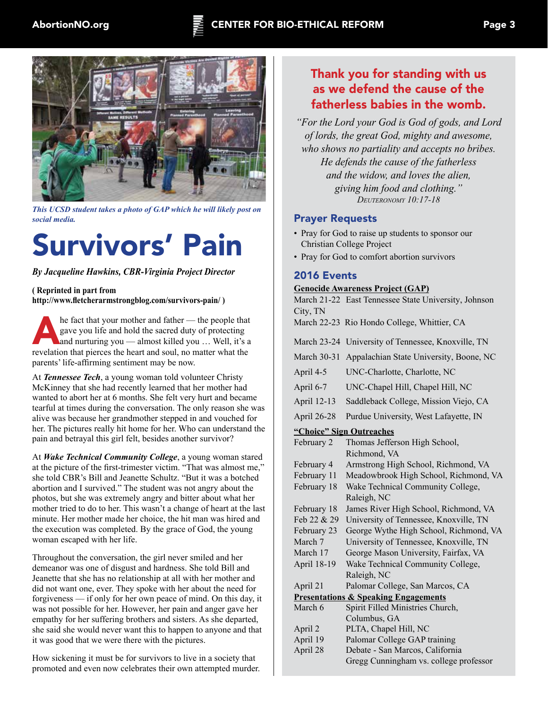



*This UCSD student takes a photo of GAP which he will likely post on social media.*

# Survivors' Pain

*By Jacqueline Hawkins, CBR-Virginia Project Director*

**( Reprinted in part from http://www.fletcherarmstrongblog.com/survivors-pain/ )**

he fact that your mother and father — the people that gave you life and hold the sacred duty of protecting and nurturing you — almost killed you ... Well, it's a revealetion that nince and soul and soul which with the gave you life and hold the sacred duty of protecting revelation that pierces the heart and soul, no matter what the parents' life-affirming sentiment may be now.

At *Tennessee Tech*, a young woman told volunteer Christy McKinney that she had recently learned that her mother had wanted to abort her at 6 months. She felt very hurt and became tearful at times during the conversation. The only reason she was alive was because her grandmother stepped in and vouched for her. The pictures really hit home for her. Who can understand the pain and betrayal this girl felt, besides another survivor?

At *Wake Technical Community College*, a young woman stared at the picture of the first-trimester victim. "That was almost me," she told CBR's Bill and Jeanette Schultz. "But it was a botched abortion and I survived." The student was not angry about the photos, but she was extremely angry and bitter about what her mother tried to do to her. This wasn't a change of heart at the last minute. Her mother made her choice, the hit man was hired and the execution was completed. By the grace of God, the young woman escaped with her life.

Throughout the conversation, the girl never smiled and her demeanor was one of disgust and hardness. She told Bill and Jeanette that she has no relationship at all with her mother and did not want one, ever. They spoke with her about the need for forgiveness — if only for her own peace of mind. On this day, it was not possible for her. However, her pain and anger gave her empathy for her suffering brothers and sisters. As she departed, she said she would never want this to happen to anyone and that it was good that we were there with the pictures.

How sickening it must be for survivors to live in a society that promoted and even now celebrates their own attempted murder.

### Thank you for standing with us as we defend the cause of the fatherless babies in the womb.

*"For the Lord your God is God of gods, and Lord of lords, the great God, mighty and awesome, who shows no partiality and accepts no bribes. He defends the cause of the fatherless and the widow, and loves the alien, giving him food and clothing." Deuteronomy 10:17-18*

### Prayer Requests

- Pray for God to raise up students to sponsor our Christian College Project
- Pray for God to comfort abortion survivors

### 2016 Events

**Genocide Awareness Project (GAP)** March 21-22 East Tennessee State University, Johnson City, TN March 22-23 Rio Hondo College, Whittier, CA March 23-24 University of Tennessee, Knoxville, TN March 30-31 Appalachian State University, Boone, NC April 4-5 UNC-Charlotte, Charlotte, NC April 6-7 UNC-Chapel Hill, Chapel Hill, NC April 12-13 Saddleback College, Mission Viejo, CA April 26-28 Purdue University, West Lafayette, IN **"Choice" Sign Outreaches** February 2 Thomas Jefferson High School, Richmond, VA February 4 Armstrong High School, Richmond, VA February 11 Meadowbrook High School, Richmond, VA February 18 Wake Technical Community College, Raleigh, NC February 18 James River High School, Richmond, VA Feb 22 & 29 University of Tennessee, Knoxville, TN February 23 George Wythe High School, Richmond, VA March 7 University of Tennessee, Knoxville, TN March 17 George Mason University, Fairfax, VA April 18-19 Wake Technical Community College, Raleigh, NC April 21 Palomar College, San Marcos, CA **Presentations & Speaking Engagements** March 6 Spirit Filled Ministries Church, Columbus, GA April 2 PLTA, Chapel Hill, NC April 19 Palomar College GAP training April 28 Debate - San Marcos, California Gregg Cunningham vs. college professor